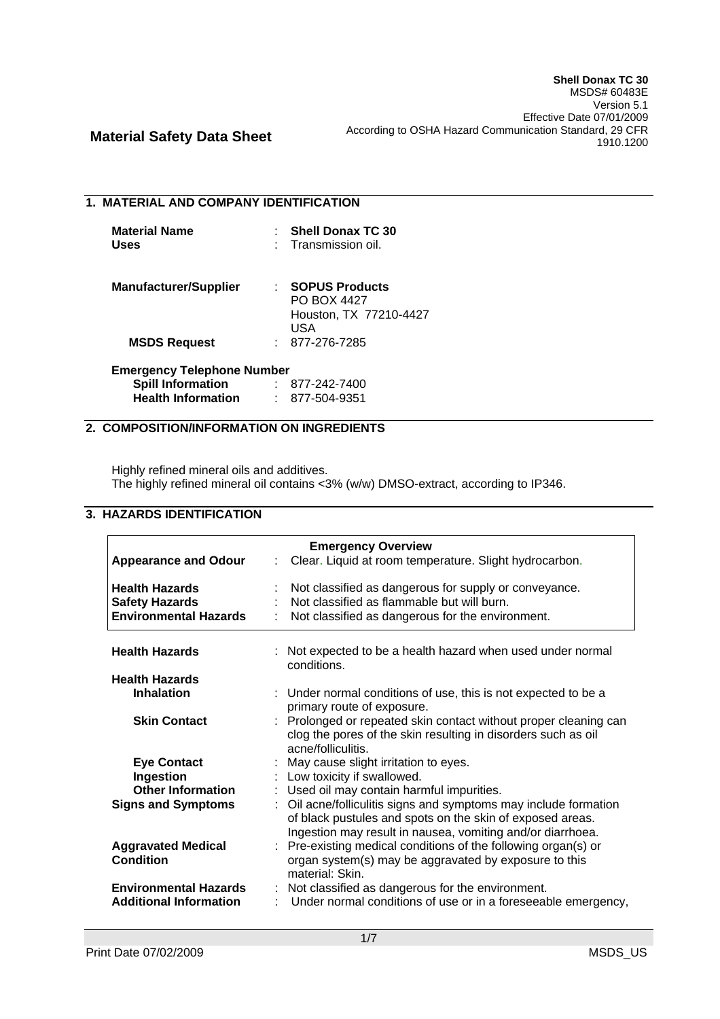## **1. MATERIAL AND COMPANY IDENTIFICATION**

| <b>Material Name</b> | : Shell Donax TC 30 |
|----------------------|---------------------|
| Uses                 | : Transmission oil. |

| <b>Manufacturer/Supplier</b> | : SOPUS Products       |
|------------------------------|------------------------|
|                              | <b>PO BOX 4427</b>     |
|                              | Houston, TX 77210-4427 |
|                              | USA                    |
| <b>MSDS Request</b>          | $: 877 - 276 - 7285$   |

| <b>Emergency Telephone Number</b> |  |              |  |  |
|-----------------------------------|--|--------------|--|--|
| <b>Spill Information</b>          |  | 877-242-7400 |  |  |
| <b>Health Information</b>         |  | 877-504-9351 |  |  |

# **2. COMPOSITION/INFORMATION ON INGREDIENTS**

Highly refined mineral oils and additives. The highly refined mineral oil contains <3% (w/w) DMSO-extract, according to IP346.

# **3. HAZARDS IDENTIFICATION**

|                               | <b>Emergency Overview</b>                                        |
|-------------------------------|------------------------------------------------------------------|
| <b>Appearance and Odour</b>   | Clear. Liquid at room temperature. Slight hydrocarbon.<br>÷      |
|                               |                                                                  |
| <b>Health Hazards</b>         | Not classified as dangerous for supply or conveyance.            |
| <b>Safety Hazards</b>         | Not classified as flammable but will burn.                       |
| <b>Environmental Hazards</b>  | Not classified as dangerous for the environment.                 |
|                               |                                                                  |
| <b>Health Hazards</b>         | : Not expected to be a health hazard when used under normal      |
|                               | conditions.                                                      |
| <b>Health Hazards</b>         |                                                                  |
| <b>Inhalation</b>             | : Under normal conditions of use, this is not expected to be a   |
|                               | primary route of exposure.                                       |
| <b>Skin Contact</b>           | : Prolonged or repeated skin contact without proper cleaning can |
|                               | clog the pores of the skin resulting in disorders such as oil    |
|                               | acne/folliculitis.                                               |
| <b>Eye Contact</b>            | : May cause slight irritation to eyes.                           |
| Ingestion                     | : Low toxicity if swallowed.                                     |
| <b>Other Information</b>      | : Used oil may contain harmful impurities.                       |
|                               |                                                                  |
| <b>Signs and Symptoms</b>     | Oil acne/folliculitis signs and symptoms may include formation   |
|                               | of black pustules and spots on the skin of exposed areas.        |
|                               | Ingestion may result in nausea, vomiting and/or diarrhoea.       |
| <b>Aggravated Medical</b>     | : Pre-existing medical conditions of the following organ(s) or   |
| <b>Condition</b>              | organ system(s) may be aggravated by exposure to this            |
|                               | material: Skin.                                                  |
| <b>Environmental Hazards</b>  | Not classified as dangerous for the environment.                 |
| <b>Additional Information</b> | Under normal conditions of use or in a foreseeable emergency,    |
|                               |                                                                  |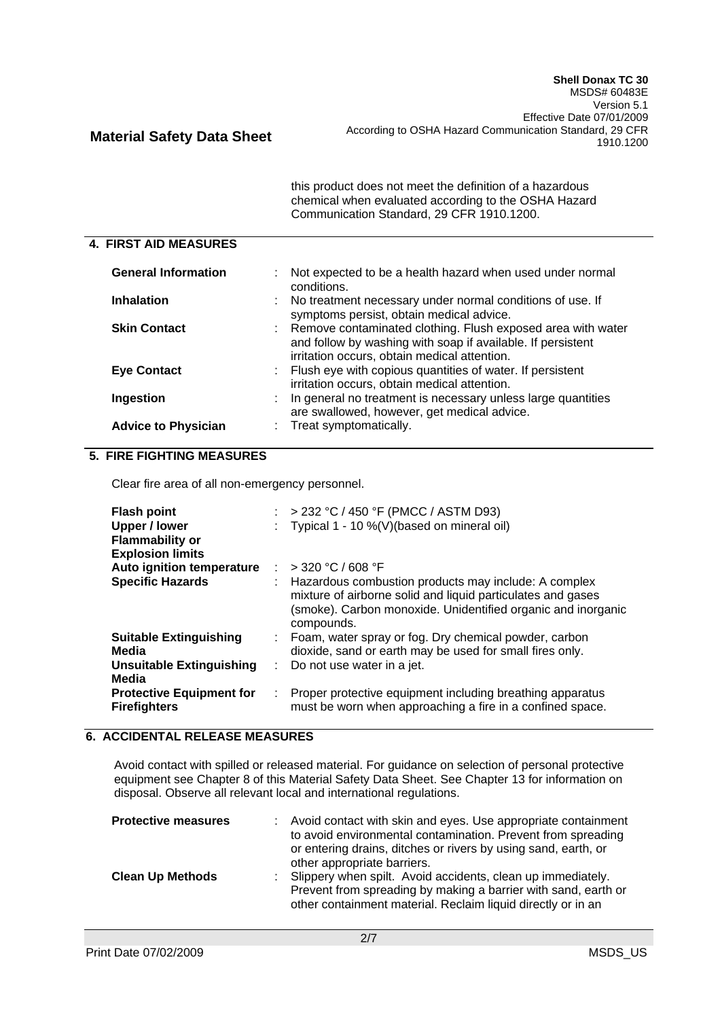| this product does not meet the definition of a hazardous |  |
|----------------------------------------------------------|--|
| chemical when evaluated according to the OSHA Hazard     |  |
| Communication Standard, 29 CFR 1910.1200.                |  |

#### **4. FIRST AID MEASURES**

| <b>General Information</b> | : Not expected to be a health hazard when used under normal<br>conditions.                                                                                                   |
|----------------------------|------------------------------------------------------------------------------------------------------------------------------------------------------------------------------|
| <b>Inhalation</b>          | No treatment necessary under normal conditions of use. If<br>t.<br>symptoms persist, obtain medical advice.                                                                  |
| <b>Skin Contact</b>        | : Remove contaminated clothing. Flush exposed area with water<br>and follow by washing with soap if available. If persistent<br>irritation occurs, obtain medical attention. |
| <b>Eye Contact</b>         | : Flush eye with copious quantities of water. If persistent<br>irritation occurs, obtain medical attention.                                                                  |
| Ingestion                  | : In general no treatment is necessary unless large quantities<br>are swallowed, however, get medical advice.                                                                |
| <b>Advice to Physician</b> | Treat symptomatically.                                                                                                                                                       |

### **5. FIRE FIGHTING MEASURES**

Clear fire area of all non-emergency personnel.

| <b>Flash point</b><br>Upper / lower<br><b>Flammability or</b><br><b>Explosion limits</b> |    | : > 232 °C / 450 °F (PMCC / ASTM D93)<br>: Typical 1 - 10 %(V)(based on mineral oil)                                                                                                                |
|------------------------------------------------------------------------------------------|----|-----------------------------------------------------------------------------------------------------------------------------------------------------------------------------------------------------|
| Auto ignition temperature                                                                |    | : > 320 °C / 608 °F                                                                                                                                                                                 |
| <b>Specific Hazards</b>                                                                  |    | : Hazardous combustion products may include: A complex<br>mixture of airborne solid and liquid particulates and gases<br>(smoke). Carbon monoxide. Unidentified organic and inorganic<br>compounds. |
| <b>Suitable Extinguishing</b>                                                            |    | : Foam, water spray or fog. Dry chemical powder, carbon                                                                                                                                             |
| Media                                                                                    |    | dioxide, sand or earth may be used for small fires only.                                                                                                                                            |
| Unsuitable Extinguishing<br>Media                                                        | ÷. | Do not use water in a jet.                                                                                                                                                                          |
| <b>Protective Equipment for</b><br><b>Firefighters</b>                                   | ÷. | Proper protective equipment including breathing apparatus<br>must be worn when approaching a fire in a confined space.                                                                              |

# **6. ACCIDENTAL RELEASE MEASURES**

Avoid contact with spilled or released material. For guidance on selection of personal protective equipment see Chapter 8 of this Material Safety Data Sheet. See Chapter 13 for information on disposal. Observe all relevant local and international regulations.

| <b>Protective measures</b> | : Avoid contact with skin and eyes. Use appropriate containment<br>to avoid environmental contamination. Prevent from spreading<br>or entering drains, ditches or rivers by using sand, earth, or<br>other appropriate barriers. |
|----------------------------|----------------------------------------------------------------------------------------------------------------------------------------------------------------------------------------------------------------------------------|
| <b>Clean Up Methods</b>    | : Slippery when spilt. Avoid accidents, clean up immediately.<br>Prevent from spreading by making a barrier with sand, earth or<br>other containment material. Reclaim liquid directly or in an                                  |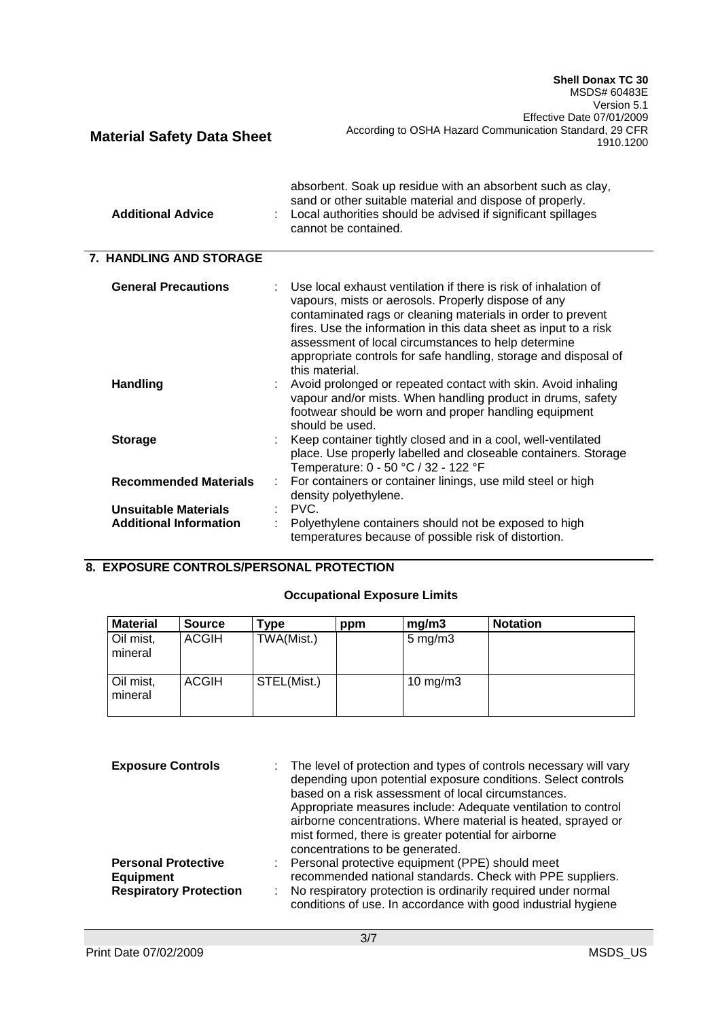MSDS# 60483E Version 5.1 Effective Date 07/01/2009 **Material Safety Data Sheet** According to OSHA Hazard Communication Standard, 29 CFR 1910.1200 absorbent. Soak up residue with an absorbent such as clay, sand or other suitable material and dispose of properly. **Additional Advice** : Local authorities should be advised if significant spillages cannot be contained.  **7. HANDLING AND STORAGE General Precautions** : Use local exhaust ventilation if there is risk of inhalation of vapours, mists or aerosols. Properly dispose of any contaminated rags or cleaning materials in order to prevent fires. Use the information in this data sheet as input to a risk assessment of local circumstances to help determine appropriate controls for safe handling, storage and disposal of this material. **Handling Example 20 handling handling in Avoid in Avoid inhaling in Avoid inhaling** vapour and/or mists. When handling product in drums, safety footwear should be worn and proper handling equipment should be used. **Storage** : Keep container tightly closed and in a cool, well-ventilated place. Use properly labelled and closeable containers. Storage Temperature: 0 - 50 °C / 32 - 122 °F **Recommended Materials** : For containers or container linings, use mild steel or high density polyethylene. **Unsuitable Materials** : PVC. **Additional Information** : Polyethylene containers should not be exposed to high temperatures because of possible risk of distortion.

# **8. EXPOSURE CONTROLS/PERSONAL PROTECTION**

#### **Occupational Exposure Limits**

| <b>Material</b>      | <b>Source</b> | Type        | ppm | mg/m3              | <b>Notation</b> |
|----------------------|---------------|-------------|-----|--------------------|-----------------|
| Oil mist,<br>mineral | <b>ACGIH</b>  | TWA(Mist.)  |     | $5 \text{ mg/m}$ 3 |                 |
| Oil mist,<br>mineral | <b>ACGIH</b>  | STEL(Mist.) |     | 10 mg/m $3$        |                 |

| <b>Exposure Controls</b>      | The level of protection and types of controls necessary will vary<br>depending upon potential exposure conditions. Select controls<br>based on a risk assessment of local circumstances.<br>Appropriate measures include: Adequate ventilation to control<br>airborne concentrations. Where material is heated, sprayed or<br>mist formed, there is greater potential for airborne<br>concentrations to be generated. |
|-------------------------------|-----------------------------------------------------------------------------------------------------------------------------------------------------------------------------------------------------------------------------------------------------------------------------------------------------------------------------------------------------------------------------------------------------------------------|
| <b>Personal Protective</b>    | Personal protective equipment (PPE) should meet                                                                                                                                                                                                                                                                                                                                                                       |
| <b>Equipment</b>              | recommended national standards. Check with PPE suppliers.                                                                                                                                                                                                                                                                                                                                                             |
| <b>Respiratory Protection</b> | No respiratory protection is ordinarily required under normal<br>conditions of use. In accordance with good industrial hygiene                                                                                                                                                                                                                                                                                        |

**Shell Donax TC 30**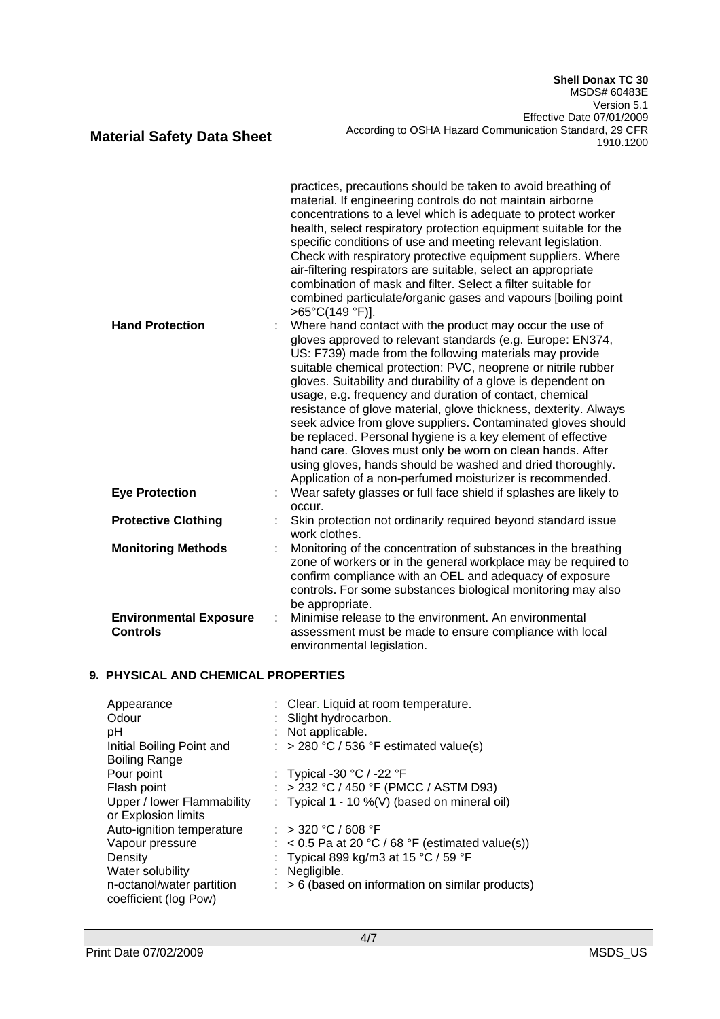#### practices, precautions should be taken to avoid breathing of material. If engineering controls do not maintain airborne concentrations to a level which is adequate to protect worker health, select respiratory protection equipment suitable for the specific conditions of use and meeting relevant legislation. Check with respiratory protective equipment suppliers. Where air-filtering respirators are suitable, select an appropriate combination of mask and filter. Select a filter suitable for combined particulate/organic gases and vapours [boiling point >65°C(149 °F)]. **Hand Protection** : Where hand contact with the product may occur the use of gloves approved to relevant standards (e.g. Europe: EN374, US: F739) made from the following materials may provide suitable chemical protection: PVC, neoprene or nitrile rubber gloves. Suitability and durability of a glove is dependent on usage, e.g. frequency and duration of contact, chemical resistance of glove material, glove thickness, dexterity. Always seek advice from glove suppliers. Contaminated gloves should be replaced. Personal hygiene is a key element of effective hand care. Gloves must only be worn on clean hands. After using gloves, hands should be washed and dried thoroughly. Application of a non-perfumed moisturizer is recommended. **Eye Protection** : Wear safety glasses or full face shield if splashes are likely to occur. **Protective Clothing <b>Example 2**: Skin protection not ordinarily required beyond standard issue work clothes. **Monitoring Methods** : Monitoring of the concentration of substances in the breathing zone of workers or in the general workplace may be required to confirm compliance with an OEL and adequacy of exposure controls. For some substances biological monitoring may also be appropriate. **Environmental Exposure Controls** : Minimise release to the environment. An environmental assessment must be made to ensure compliance with local environmental legislation.

# **9. PHYSICAL AND CHEMICAL PROPERTIES**

| Appearance<br>Odour<br>рH<br>Initial Boiling Point and | : Clear. Liquid at room temperature.<br>: Slight hydrocarbon.<br>: Not applicable.<br>: > 280 °C / 536 °F estimated value(s) |
|--------------------------------------------------------|------------------------------------------------------------------------------------------------------------------------------|
| <b>Boiling Range</b>                                   |                                                                                                                              |
| Pour point                                             | : Typical -30 $^{\circ}$ C / -22 $^{\circ}$ F                                                                                |
| Flash point                                            | : > 232 °C / 450 °F (PMCC / ASTM D93)                                                                                        |
| Upper / lower Flammability                             | : Typical $1 - 10\%$ (V) (based on mineral oil)                                                                              |
| or Explosion limits                                    |                                                                                                                              |
| Auto-ignition temperature                              | $:$ > 320 °C / 608 °F                                                                                                        |
| Vapour pressure                                        | $:$ < 0.5 Pa at 20 °C / 68 °F (estimated value(s))                                                                           |
| Density                                                | : Typical 899 kg/m3 at 15 °C / 59 °F                                                                                         |
| Water solubility                                       | : Negligible.                                                                                                                |
| n-octanol/water partition<br>coefficient (log Pow)     | $\therefore$ > 6 (based on information on similar products)                                                                  |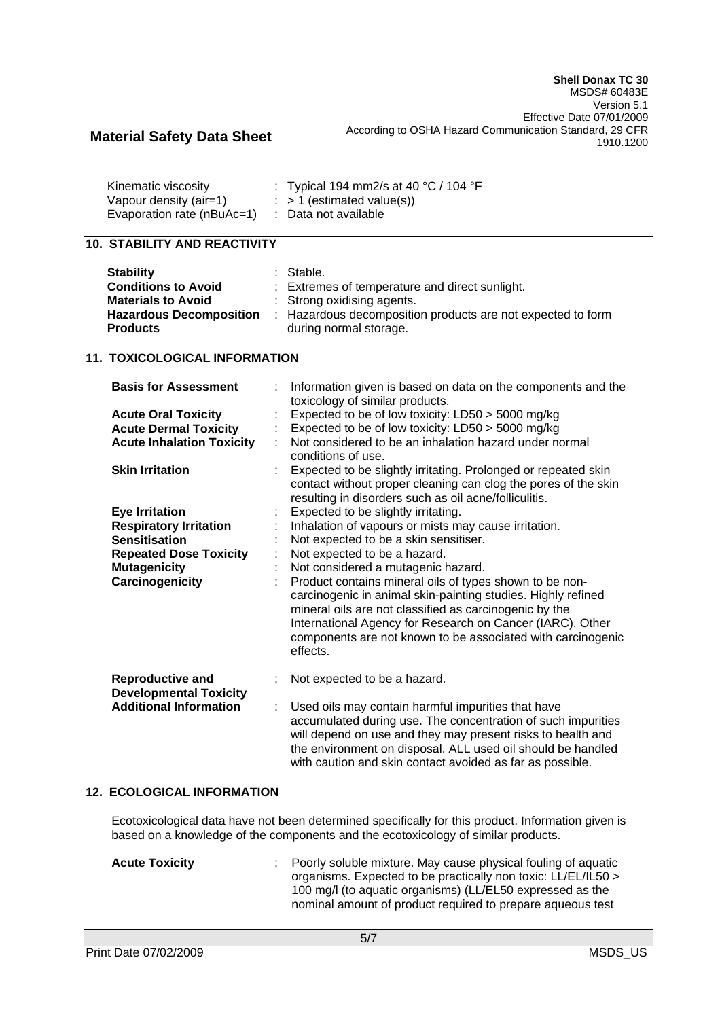| Kinematic viscosity        | : Typical 194 mm2/s at 40 °C / 104 °F |
|----------------------------|---------------------------------------|
| Vapour density (air=1)     | $\therefore$ > 1 (estimated value(s)) |
| Evaporation rate (nBuAc=1) | : Data not available                  |

### **10. STABILITY AND REACTIVITY**

| <b>Stability</b><br><b>Conditions to Avoid</b><br><b>Materials to Avoid</b> | : Stable.<br>: Extremes of temperature and direct sunlight.<br>: Strong oxidising agents. |
|-----------------------------------------------------------------------------|-------------------------------------------------------------------------------------------|
| <b>Hazardous Decomposition</b>                                              | : Hazardous decomposition products are not expected to form                               |
| <b>Products</b>                                                             | during normal storage.                                                                    |

## **11. TOXICOLOGICAL INFORMATION**

| <b>Basis for Assessment</b>                              | Information given is based on data on the components and the<br>toxicology of similar products.                                                                                                                                                                                                                           |
|----------------------------------------------------------|---------------------------------------------------------------------------------------------------------------------------------------------------------------------------------------------------------------------------------------------------------------------------------------------------------------------------|
| <b>Acute Oral Toxicity</b>                               | Expected to be of low toxicity: LD50 > 5000 mg/kg                                                                                                                                                                                                                                                                         |
| <b>Acute Dermal Toxicity</b>                             | Expected to be of low toxicity: LD50 > 5000 mg/kg                                                                                                                                                                                                                                                                         |
| <b>Acute Inhalation Toxicity</b>                         | Not considered to be an inhalation hazard under normal<br>conditions of use.                                                                                                                                                                                                                                              |
| <b>Skin Irritation</b>                                   | Expected to be slightly irritating. Prolonged or repeated skin<br>contact without proper cleaning can clog the pores of the skin<br>resulting in disorders such as oil acne/folliculitis.                                                                                                                                 |
| <b>Eye Irritation</b>                                    | Expected to be slightly irritating.                                                                                                                                                                                                                                                                                       |
| <b>Respiratory Irritation</b>                            | Inhalation of vapours or mists may cause irritation.                                                                                                                                                                                                                                                                      |
| <b>Sensitisation</b>                                     | Not expected to be a skin sensitiser.                                                                                                                                                                                                                                                                                     |
| <b>Repeated Dose Toxicity</b>                            | Not expected to be a hazard.                                                                                                                                                                                                                                                                                              |
| <b>Mutagenicity</b>                                      | Not considered a mutagenic hazard.                                                                                                                                                                                                                                                                                        |
| Carcinogenicity                                          | Product contains mineral oils of types shown to be non-<br>carcinogenic in animal skin-painting studies. Highly refined<br>mineral oils are not classified as carcinogenic by the<br>International Agency for Research on Cancer (IARC). Other<br>components are not known to be associated with carcinogenic<br>effects. |
| <b>Reproductive and</b><br><b>Developmental Toxicity</b> | Not expected to be a hazard.                                                                                                                                                                                                                                                                                              |
| <b>Additional Information</b>                            | Used oils may contain harmful impurities that have<br>accumulated during use. The concentration of such impurities<br>will depend on use and they may present risks to health and<br>the environment on disposal. ALL used oil should be handled<br>with caution and skin contact avoided as far as possible.             |

## **12. ECOLOGICAL INFORMATION**

Ecotoxicological data have not been determined specifically for this product. Information given is based on a knowledge of the components and the ecotoxicology of similar products.

| <b>Acute Toxicity</b> | : Poorly soluble mixture. May cause physical fouling of aquatic<br>organisms. Expected to be practically non toxic: LL/EL/IL50 ><br>100 mg/l (to aquatic organisms) (LL/EL50 expressed as the<br>nominal amount of product required to prepare aqueous test |
|-----------------------|-------------------------------------------------------------------------------------------------------------------------------------------------------------------------------------------------------------------------------------------------------------|
|                       |                                                                                                                                                                                                                                                             |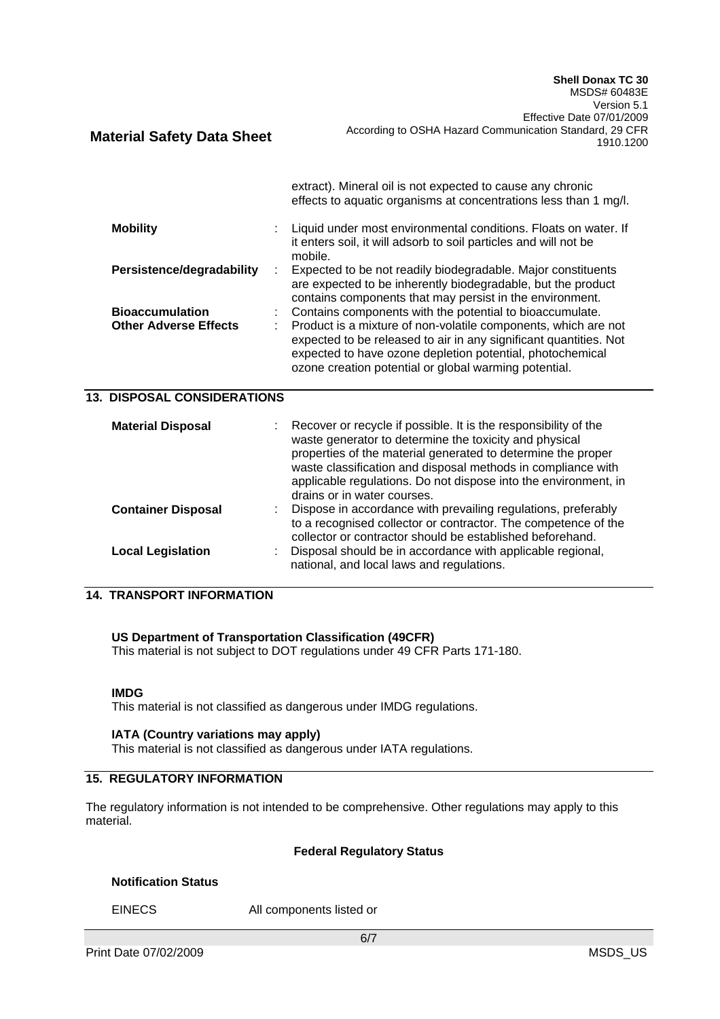|                                                        | extract). Mineral oil is not expected to cause any chronic<br>effects to aquatic organisms at concentrations less than 1 mg/l.                                                                                                                                                                                        |
|--------------------------------------------------------|-----------------------------------------------------------------------------------------------------------------------------------------------------------------------------------------------------------------------------------------------------------------------------------------------------------------------|
| <b>Mobility</b>                                        | Liquid under most environmental conditions. Floats on water. If<br>it enters soil, it will adsorb to soil particles and will not be<br>mobile.                                                                                                                                                                        |
| Persistence/degradability                              | Expected to be not readily biodegradable. Major constituents<br>are expected to be inherently biodegradable, but the product<br>contains components that may persist in the environment.                                                                                                                              |
| <b>Bioaccumulation</b><br><b>Other Adverse Effects</b> | Contains components with the potential to bioaccumulate.<br>Product is a mixture of non-volatile components, which are not<br>expected to be released to air in any significant quantities. Not<br>expected to have ozone depletion potential, photochemical<br>ozone creation potential or global warming potential. |
| <b>13. DISPOSAL CONSIDERATIONS</b>                     |                                                                                                                                                                                                                                                                                                                       |
| <b>Material Disposal</b>                               | Recover or recycle if possible. It is the responsibility of the<br>waste generator to determine the toxicity and physical                                                                                                                                                                                             |

|                           | waste classification and disposal methods in compliance with<br>applicable regulations. Do not dispose into the environment, in |
|---------------------------|---------------------------------------------------------------------------------------------------------------------------------|
|                           | drains or in water courses.                                                                                                     |
| <b>Container Disposal</b> | Dispose in accordance with prevailing regulations, preferably                                                                   |
|                           | to a recognised collector or contractor. The competence of the<br>collector or contractor should be established beforehand.     |
| <b>Local Legislation</b>  | Disposal should be in accordance with applicable regional,                                                                      |
|                           | national, and local laws and regulations.                                                                                       |

properties of the material generated to determine the proper

# **14. TRANSPORT INFORMATION**

#### **US Department of Transportation Classification (49CFR)**

This material is not subject to DOT regulations under 49 CFR Parts 171-180.

This material is not classified as dangerous under IMDG regulations.

#### **IATA (Country variations may apply)**

This material is not classified as dangerous under IATA regulations.

## **15. REGULATORY INFORMATION**

The regulatory information is not intended to be comprehensive. Other regulations may apply to this material.

#### **Federal Regulatory Status**

## **Notification Status**

EINECS All components listed or

**IMDG**